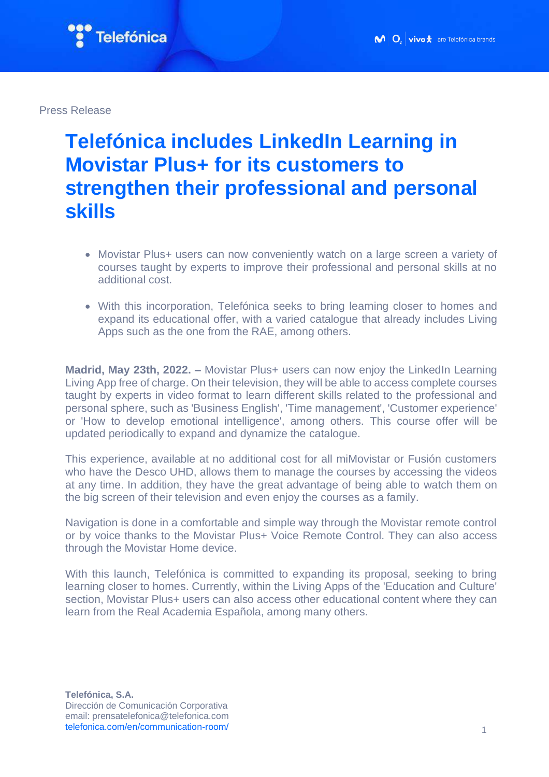

Press Release

## **Telefónica includes LinkedIn Learning in Movistar Plus+ for its customers to strengthen their professional and personal skills**

- Movistar Plus+ users can now conveniently watch on a large screen a variety of courses taught by experts to improve their professional and personal skills at no additional cost.
- With this incorporation, Telefónica seeks to bring learning closer to homes and expand its educational offer, with a varied catalogue that already includes Living Apps such as the one from the RAE, among others.

**Madrid, May 23th, 2022. – Movistar Plus+ users can now enjoy the LinkedIn Learning** [Living App](https://livingapps.telefonica.com/) free of charge. On their television, they will be able to access complete courses taught by experts in video format to learn different skills related to the professional and personal sphere, such as 'Business English', 'Time management', 'Customer experience' or 'How to develop emotional intelligence', among others. This course offer will be updated periodically to expand and dynamize the catalogue.

This experience, available at no additional cost for all miMovistar or Fusión customers who have the Desco UHD, allows them to manage the courses by accessing the videos at any time. In addition, they have the great advantage of being able to watch them on the big screen of their television and even enjoy the courses as a family.

Navigation is done in a comfortable and simple way through the Movistar remote control or by voice thanks to the Movistar Plus+ Voice Remote Control. They can also access through the Movistar Home device.

With this launch, Telefónica is committed to expanding its proposal, seeking to bring learning closer to homes. Currently, within the Living Apps of the 'Education and Culture' section, Movistar Plus+ users can also access other educational content where they can learn from the Real Academia Española, among many others.